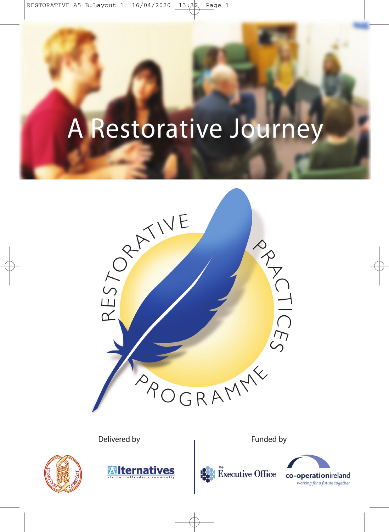## A Restorative Journey



Delivered by The Runded by The Funded by The Funded by